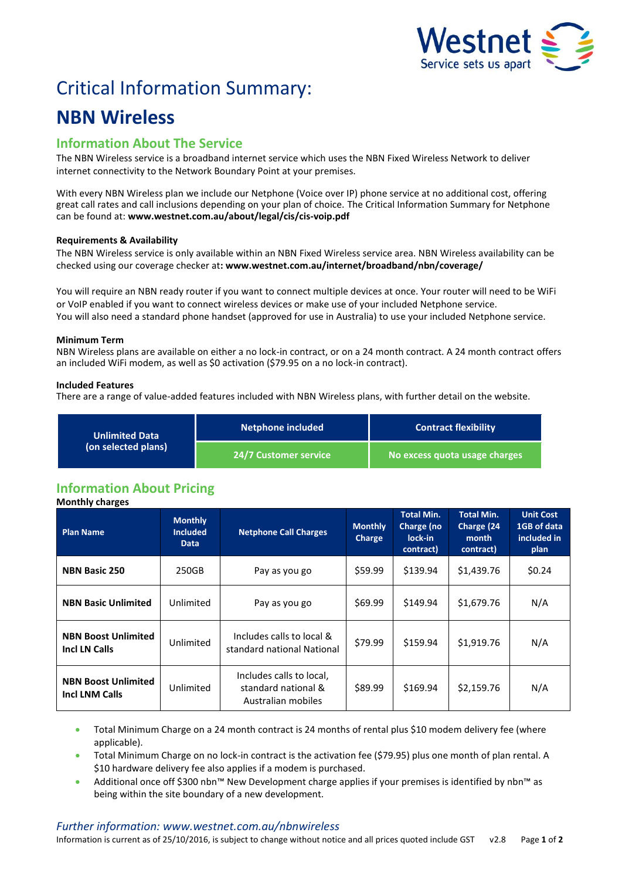

# Critical Information Summary:

## **NBN Wireless**

## **Information About The Service**

The NBN Wireless service is a broadband internet service which uses the NBN Fixed Wireless Network to deliver internet connectivity to the Network Boundary Point at your premises.

With every NBN Wireless plan we include our Netphone (Voice over IP) phone service at no additional cost, offering great call rates and call inclusions depending on your plan of choice. The Critical Information Summary for Netphone can be found at: **www.westnet.com.au/about/legal/cis/cis-voip.pdf**

#### **Requirements & Availability**

The NBN Wireless service is only available within an NBN Fixed Wireless service area. NBN Wireless availability can be checked using our coverage checker at**: www.westnet.com.au/internet/broadband/nbn/coverage/**

You will require an NBN ready router if you want to connect multiple devices at once. Your router will need to be WiFi or VoIP enabled if you want to connect wireless devices or make use of your included Netphone service. You will also need a standard phone handset (approved for use in Australia) to use your included Netphone service.

#### **Minimum Term**

NBN Wireless plans are available on either a no lock-in contract, or on a 24 month contract. A 24 month contract offers an included WiFi modem, as well as \$0 activation (\$79.95 on a no lock-in contract).

#### **Included Features**

There are a range of value-added features included with NBN Wireless plans, with further detail on the website.

| <b>Unlimited Data</b><br>(on selected plans) | <b>Netphone included</b> | <b>Contract flexibility</b>   |  |
|----------------------------------------------|--------------------------|-------------------------------|--|
|                                              | 24/7 Customer service '  | No excess quota usage charges |  |

## **Information About Pricing**

**Monthly charges Plan Name Monthly Included Data Netphone Call Charges Monthly Charge Total Min. Charge (no lock-in contract) Total Min. Charge (24 month contract) Unit Cost 1GB of data included in plan NBN Basic 250** 250GB Pay as you go  $\begin{array}{|c|c|c|c|c|c|c|c|} \hline \text{NBN Basic 250} & 250.24 & \text{S139.94} & \text{S139.96} & \text{S24} \hline \end{array}$ **NBN Basic Unlimited** Unlimited **Pay as you go**  $\frac{1}{569.99}$  **\$149.94 \$1,679.76 N/A NBN Boost Unlimited INBN Boost Unlimited** Unlimited Includes calls to local & \$79.99 \$159.94 \$1,919.76 N/A **NBN Boost Unlimited Incl LNM Calls** Unlimited Includes calls to local, standard national & Australian mobiles  $$89.99$   $$169.94$   $$2,159.76$  N/A

• Total Minimum Charge on a 24 month contract is 24 months of rental plus \$10 modem delivery fee (where applicable).

 Total Minimum Charge on no lock-in contract is the activation fee (\$79.95) plus one month of plan rental. A \$10 hardware delivery fee also applies if a modem is purchased.

 Additional once off \$300 nbn™ New Development charge applies if your premises is identified by nbn™ as being within the site boundary of a new development.

#### *Further information: www.westnet.com.au/nbnwireless*

Information is current as of 25/10/2016, is subject to change without notice and all prices quoted include GST v2.8 Page **1** of **2**